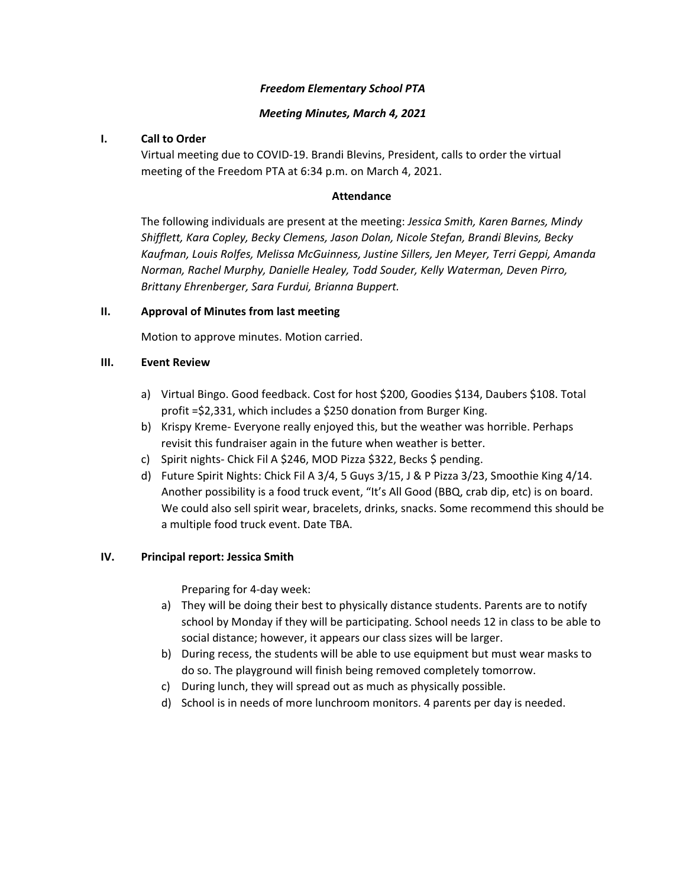### *Freedom Elementary School PTA*

### *Meeting Minutes, March 4, 2021*

## **I. Call to Order**

Virtual meeting due to COVID-19. Brandi Blevins, President, calls to order the virtual meeting of the Freedom PTA at 6:34 p.m. on March 4, 2021.

### **Attendance**

The following individuals are present at the meeting: *Jessica Smith, Karen Barnes, Mindy Shifflett, Kara Copley, Becky Clemens, Jason Dolan, Nicole Stefan, Brandi Blevins, Becky Kaufman, Louis Rolfes, Melissa McGuinness, Justine Sillers, Jen Meyer, Terri Geppi, Amanda Norman, Rachel Murphy, Danielle Healey, Todd Souder, Kelly Waterman, Deven Pirro, Brittany Ehrenberger, Sara Furdui, Brianna Buppert.* 

## **II. Approval of Minutes from last meeting**

Motion to approve minutes. Motion carried.

## **III. Event Review**

- a) Virtual Bingo. Good feedback. Cost for host \$200, Goodies \$134, Daubers \$108. Total profit =\$2,331, which includes a \$250 donation from Burger King.
- b) Krispy Kreme- Everyone really enjoyed this, but the weather was horrible. Perhaps revisit this fundraiser again in the future when weather is better.
- c) Spirit nights- Chick Fil A \$246, MOD Pizza \$322, Becks \$ pending.
- d) Future Spirit Nights: Chick Fil A 3/4, 5 Guys 3/15, J & P Pizza 3/23, Smoothie King 4/14. Another possibility is a food truck event, "It's All Good (BBQ, crab dip, etc) is on board. We could also sell spirit wear, bracelets, drinks, snacks. Some recommend this should be a multiple food truck event. Date TBA.

#### **IV. Principal report: Jessica Smith**

Preparing for 4-day week:

- a) They will be doing their best to physically distance students. Parents are to notify school by Monday if they will be participating. School needs 12 in class to be able to social distance; however, it appears our class sizes will be larger.
- b) During recess, the students will be able to use equipment but must wear masks to do so. The playground will finish being removed completely tomorrow.
- c) During lunch, they will spread out as much as physically possible.
- d) School is in needs of more lunchroom monitors. 4 parents per day is needed.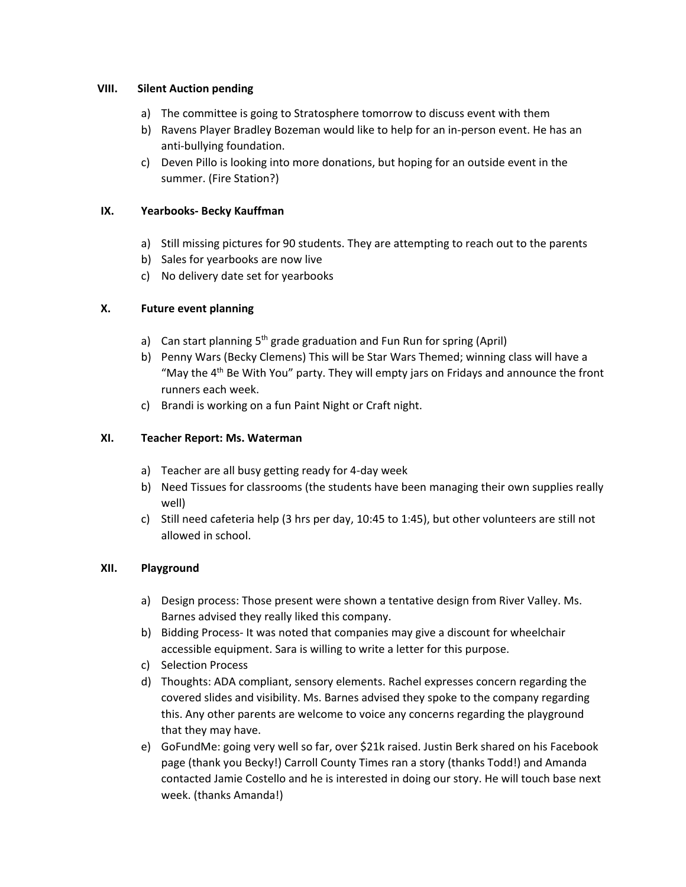#### **VIII. Silent Auction pending**

- a) The committee is going to Stratosphere tomorrow to discuss event with them
- b) Ravens Player Bradley Bozeman would like to help for an in-person event. He has an anti-bullying foundation.
- c) Deven Pillo is looking into more donations, but hoping for an outside event in the summer. (Fire Station?)

# **IX. Yearbooks- Becky Kauffman**

- a) Still missing pictures for 90 students. They are attempting to reach out to the parents
- b) Sales for yearbooks are now live
- c) No delivery date set for yearbooks

## **X. Future event planning**

- a) Can start planning  $5<sup>th</sup>$  grade graduation and Fun Run for spring (April)
- b) Penny Wars (Becky Clemens) This will be Star Wars Themed; winning class will have a "May the  $4<sup>th</sup>$  Be With You" party. They will empty jars on Fridays and announce the front runners each week.
- c) Brandi is working on a fun Paint Night or Craft night.

## **XI. Teacher Report: Ms. Waterman**

- a) Teacher are all busy getting ready for 4-day week
- b) Need Tissues for classrooms (the students have been managing their own supplies really well)
- c) Still need cafeteria help (3 hrs per day, 10:45 to 1:45), but other volunteers are still not allowed in school.

#### **XII. Playground**

- a) Design process: Those present were shown a tentative design from River Valley. Ms. Barnes advised they really liked this company.
- b) Bidding Process- It was noted that companies may give a discount for wheelchair accessible equipment. Sara is willing to write a letter for this purpose.
- c) Selection Process
- d) Thoughts: ADA compliant, sensory elements. Rachel expresses concern regarding the covered slides and visibility. Ms. Barnes advised they spoke to the company regarding this. Any other parents are welcome to voice any concerns regarding the playground that they may have.
- e) GoFundMe: going very well so far, over \$21k raised. Justin Berk shared on his Facebook page (thank you Becky!) Carroll County Times ran a story (thanks Todd!) and Amanda contacted Jamie Costello and he is interested in doing our story. He will touch base next week. (thanks Amanda!)